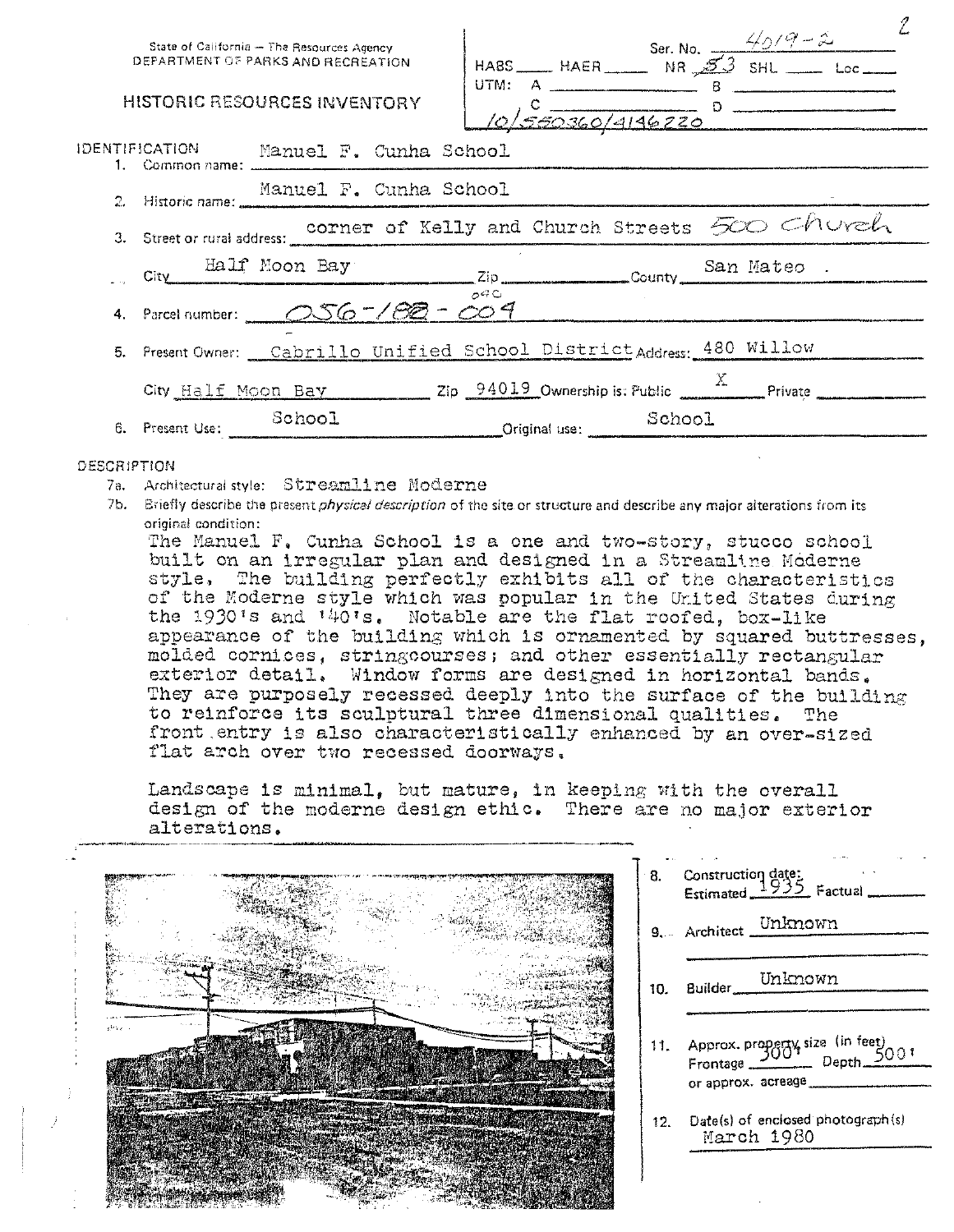|                        | State of California - The Resources Agency<br>DEPARTMENT OF PARKS AND RECREATION |        | HABS HAER Ser. No. $\frac{4/6}{9-2}$ Ser. No. $\frac{4}{3}$ SHL Loc |        |  |  |
|------------------------|----------------------------------------------------------------------------------|--------|---------------------------------------------------------------------|--------|--|--|
|                        | <b>HISTORIC RESOURCES INVENTORY</b>                                              | UTM: A | $\frac{c}{\sqrt{560360/4146220}}$ D                                 |        |  |  |
|                        | IDENTIFICATION Manuel F. Cunha School                                            |        |                                                                     |        |  |  |
| 2. Historic name: ___  | Manuel F. Cunha School                                                           |        |                                                                     |        |  |  |
|                        | 3. Street or rural address: corner of Kelly and Church Streets 500 Church        |        |                                                                     |        |  |  |
|                        | City Half Moon Bay Zip County San Mateo.                                         |        |                                                                     |        |  |  |
|                        | 4. Parcel number: 056-182-009                                                    | ACCO   |                                                                     |        |  |  |
|                        | 5. Present Owner: Cabrillo Unified School District Address: 480 Willow           |        |                                                                     |        |  |  |
|                        | City Half Moon Bay 2ip 94019 Ownership is: Public 4. Private                     |        |                                                                     |        |  |  |
| 6. Present Use: School |                                                                                  |        | Original use:                                                       | School |  |  |

## DESCRIPTION

- 7a. Architectural style: Streamline Moderne
- 7b. Briefly describe the present *physical description* of the site or structure and describe any major alterations from its original condition:

The Manuel F. Cunha School is a one and two-story, stucco school built on an irregular plan and designed in a Streamline Moderne style. The building perfectly exhibits all of the characteristics of the Moderne style which was popular in the United States during the 1930's and '40's. Notable are the flat roofed, box-like appearance of the building which is ornamented by squared buttresses, molded cornices. stringcourses; and other essentially rectangular exterior detail. Window forms are designed in horizontal bands. They are purposely recessed deeply into the surface of the building to reinforce its sculptural three dimensional qualities. The front entry is also characteristically enhanced by an over-sized flat arch over two recessed doorways.

Landscape is minimal, but mature, in keeping with the overall design of the moderne design ethic. There are no major exterior alterations.



|                 | 8. Construction date:<br>Estimated 1935 Factual                                                          |
|-----------------|----------------------------------------------------------------------------------------------------------|
|                 | 9. Architect Unknown                                                                                     |
| 10.             | Builder Unknown                                                                                          |
|                 | 11. Approx. property size (in feet)<br>Frontage Depth $\frac{500 \text{ T}}{}$<br>$or$ approx. $acreage$ |
| 12 <sub>1</sub> | $Date(s)$ of enclosed photograph $(s)$<br>March 1980                                                     |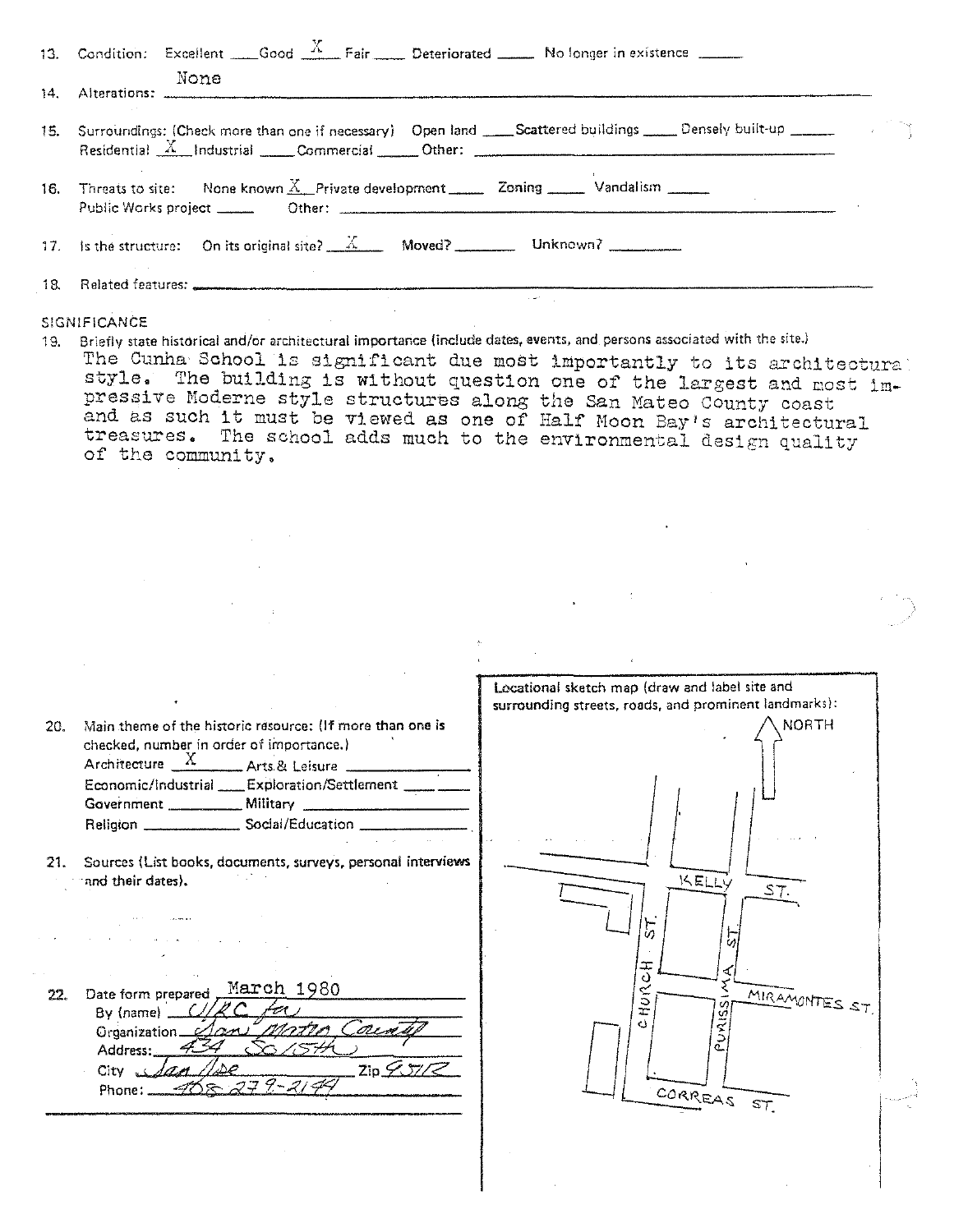| 13. Condition: Excellent Good $\frac{X}{X}$ Fair Deteriorated No longer in existence                                                                                                                                                                                                                                                                          |
|---------------------------------------------------------------------------------------------------------------------------------------------------------------------------------------------------------------------------------------------------------------------------------------------------------------------------------------------------------------|
| None                                                                                                                                                                                                                                                                                                                                                          |
| 15. Surroundings: Check more than one if necessary) Open land ____Scattered buildings _____Densely built-up ______<br>Residential $X$ Industrial Commercial Other: $\frac{1}{1-\frac{1}{2}}$ Industrial Commercial Commercial Commercial Commercial Commercial Commercial Commercial Commercial Commercial Commercial Commercial Commercial Commercial Commer |
| 16. Threats to site: None known X, Private development _______ Zoning ______ Vandalism ______                                                                                                                                                                                                                                                                 |
| 17. Is the structure: On its original site? $\frac{X}{X}$ Moved? Unknown?                                                                                                                                                                                                                                                                                     |
|                                                                                                                                                                                                                                                                                                                                                               |
| SIGNIFICANCE                                                                                                                                                                                                                                                                                                                                                  |

19. Briefly state historical and/or architectural importance (include dates, events, and persons associated with the site.) The Cunha School is significant due most importantly to its architectural style. The building is without question one of the largest and most impressive Moderne style structures along the San Mateo County coast proberts houtine style structures along the San Mateo County coast<br>and as such it must be viewed as one of Half Moon Bay's architectural treasures, The school adds much to the environmental design quality of the community,

|     |                                                                    | Locational sketch map (draw and label site and        |
|-----|--------------------------------------------------------------------|-------------------------------------------------------|
|     |                                                                    | surrounding streets, roads, and prominent landmarks): |
| 20. | Main theme of the historic resource: (If more than one is          | <b>NORTH</b>                                          |
|     | checked, number in order of importance.)                           |                                                       |
|     | Architecture $X$ Arts & Leisure                                    |                                                       |
|     | Economic/Industrial ____ Exploration/Settlement ____               |                                                       |
|     |                                                                    |                                                       |
|     |                                                                    |                                                       |
|     | Religion ________________________ Social/Education _______________ |                                                       |
|     |                                                                    |                                                       |
| 21. | Sources (List books, documents, surveys, personal interviews       |                                                       |
|     | and their dates).                                                  | KELLY<br>ST.                                          |
|     |                                                                    |                                                       |
|     |                                                                    |                                                       |
|     |                                                                    | 'n                                                    |
|     |                                                                    |                                                       |
|     |                                                                    | ᅚ<br>c)                                               |
| 22. | March 1980<br>Date form prepared                                   | ≪<br>MIRAMONTES ST                                    |
|     | By (name) _                                                        | ⊃<br>÷                                                |
|     | 01 i vo<br>Organization_                                           | d                                                     |
|     | Address:                                                           |                                                       |
|     | ZipZ/TZ<br>$C$ ity $\overline{u}$                                  |                                                       |
|     | $405279 - 2149$<br>Phone:                                          |                                                       |
|     |                                                                    | CORREAS ST.                                           |
|     |                                                                    |                                                       |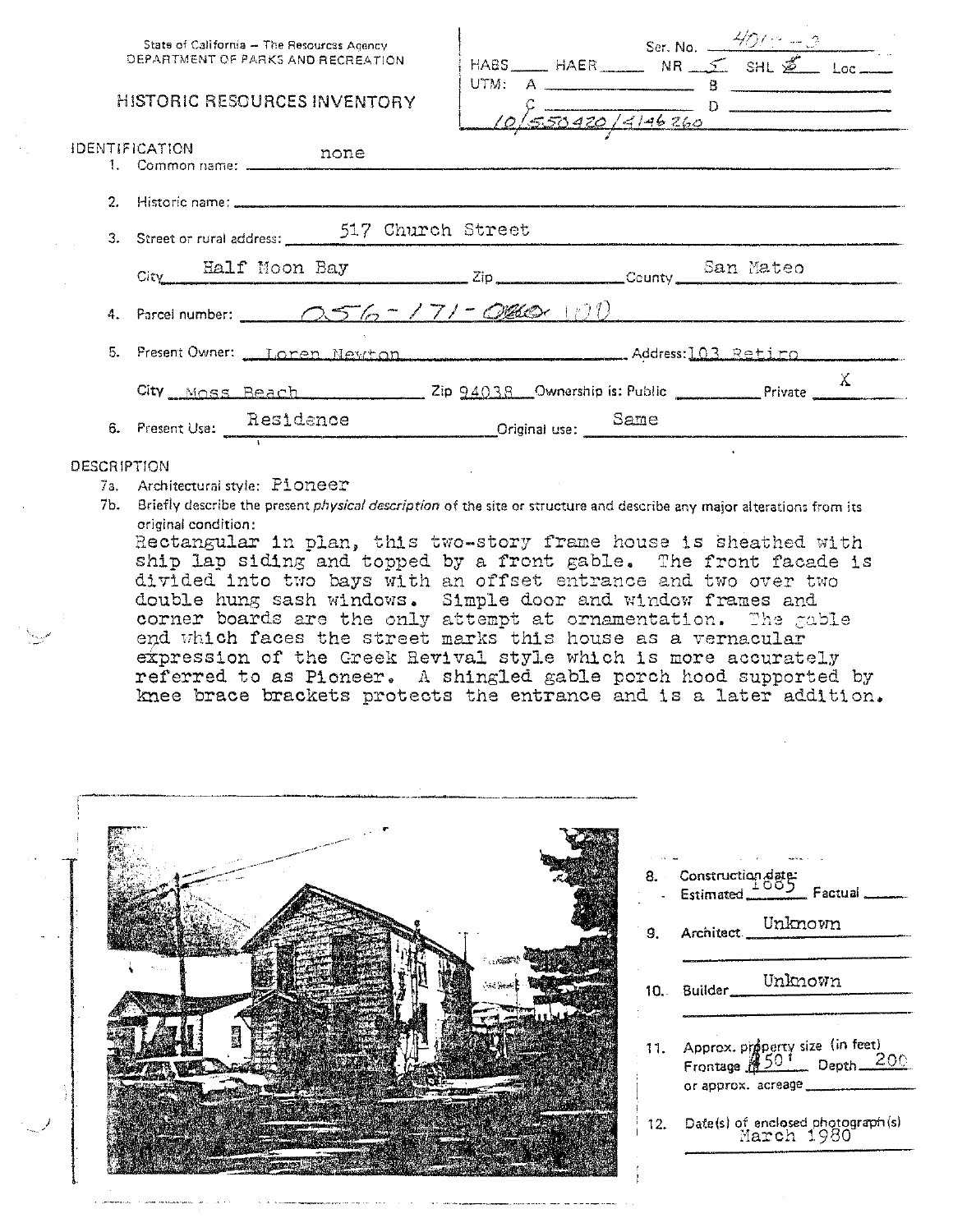| State of California - The Resources Agency<br>DEPARTMENT OF PARKS AND RECREATION<br><b>HISTORIC RESOURCES INVENTORY</b> | HABS HAER Ser, No. $\frac{4/0.18 - 0.06}{5}$<br>HABS HAER NR 5 SHL 2 Loc<br>$10\sqrt{550420}/4146260$ |
|-------------------------------------------------------------------------------------------------------------------------|-------------------------------------------------------------------------------------------------------|
| <b>IDENTIFICATION</b><br>none                                                                                           |                                                                                                       |
| 2. Historic name: www.www.com/www.com/www.com/www.com/www.com/www.com/www.com/                                          |                                                                                                       |
| 3. Street or rural address: 517 Church Street                                                                           |                                                                                                       |
|                                                                                                                         | City Half Moon Bay Zip County San Mateo                                                               |
|                                                                                                                         | 4. Parcel number: $\sqrt{5/6} - 171 - \frac{0.060 \times 100}{100}$                                   |
|                                                                                                                         | 5. Present Owner: <u>Landen Newton Metan Methodo (Address: 103 Retiro</u>                             |
|                                                                                                                         | City Moss Beach 2ip 94038 Ownership is: Public Private X                                              |
|                                                                                                                         | 6. Present Use: Residence Criginal use: Same                                                          |
| <b>DECORPTION</b>                                                                                                       |                                                                                                       |

- 7a. Architectural style: Pioneer
- 7b. Briefly describe the present physical description of the site or structure and describe any major alterations from its original condition:

Rectangular in plan, this two-story frame house is sheathed with ship lap siding and topped by a front gable. The front facade is divided into two bays with an offset entrance and two over two double hung sash windows. Simple door and window frames and corner boards are the only attempt at ornamentation. The gable end which faces the street marks this house as a vernacular expression of the Greek Revival style which is more accurately referred to as Pioneer. A shingled gable porch hood supported by knee brace brackets protects the entrance and is a later addition.